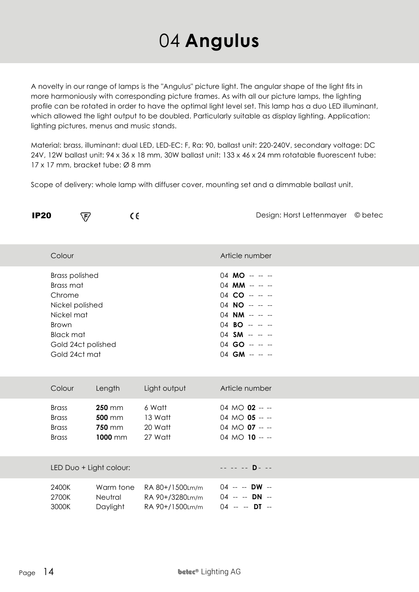## 04 **Angulus**

A novelty in our range of lamps is the "Angulus" picture light. The angular shape of the light fits in more harmoniously with corresponding picture frames. As with all our picture lamps, the lighting profile can be rotated in order to have the optimal light level set. This lamp has a duo LED illuminant, which allowed the light output to be doubled. Particularly suitable as display lighting. Application: lighting pictures, menus and music stands.

Material: brass, illuminant: dual LED, LED-EC: F, Ra: 90, ballast unit: 220-240V, secondary voltage: DC 24V, 12W ballast unit: 94 x 36 x 18 mm, 30W ballast unit: 133 x 46 x 24 mm rotatable fluorescent tube: 17 x 17 mm, bracket tube: Ø 8 mm

Scope of delivery: whole lamp with diffuser cover, mounting set and a dimmable ballast unit.

| <b>IP20</b> |                                                                                                                                    | ∇                                                          | CE                                                    |                                                                                                                                                                             | Design: Horst Lettenmayer © betec |  |
|-------------|------------------------------------------------------------------------------------------------------------------------------------|------------------------------------------------------------|-------------------------------------------------------|-----------------------------------------------------------------------------------------------------------------------------------------------------------------------------|-----------------------------------|--|
|             | Colour                                                                                                                             |                                                            |                                                       | Article number                                                                                                                                                              |                                   |  |
|             | <b>Brass polished</b><br>Brass mat<br>Chrome<br>Nickel polished<br>Nickel mat<br><b>Brown</b><br><b>Black mat</b><br>Gold 24ct mat | Gold 24ct polished                                         |                                                       | 04 MO -- -- --<br>04 MM -- -- --<br>$04$ CO -- -- --<br>$04 \text{ NO} - - -$<br>04 NM -- -- --<br>$04$ BO -- -- --<br>04 SM -- -- --<br>$04$ GO -- -- --<br>04 GM -- -- -- |                                   |  |
|             | Colour                                                                                                                             | Length                                                     | Light output                                          | Article number                                                                                                                                                              |                                   |  |
|             | <b>Brass</b><br><b>Brass</b><br><b>Brass</b><br><b>Brass</b>                                                                       | <b>250 mm</b><br><b>500 mm</b><br><b>750 mm</b><br>1000 mm | 6 Watt<br>13 Watt<br>20 Watt<br>27 Watt               | 04 MO <b>02</b> -- --<br>04 MO 05 -- --<br>04 MO $07 -$<br>04 MO 10 -- --                                                                                                   |                                   |  |
|             |                                                                                                                                    | LED Duo + Light colour:                                    |                                                       | -- -- -- D- --                                                                                                                                                              |                                   |  |
|             | 2400K<br>2700K<br>3000K                                                                                                            | Warm tone<br>Neutral<br>Daylight                           | RA 80+/1500Lm/m<br>RA 90+/3280Lm/m<br>RA 90+/1500Lm/m | 04 -- -- DW --<br>04 -- -- DN --<br>$04 - -$ DT --                                                                                                                          |                                   |  |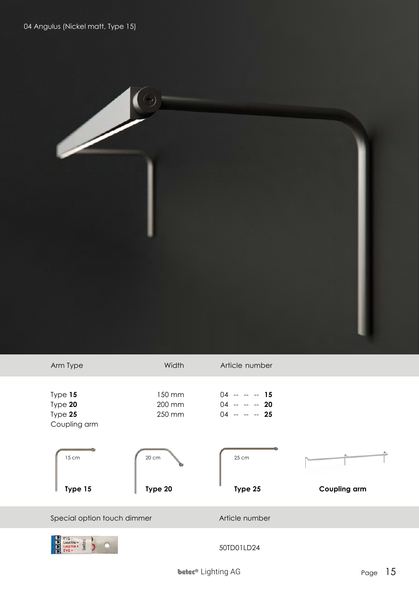

| Arm Type                                      | Width                      | Article number                                  |                     |
|-----------------------------------------------|----------------------------|-------------------------------------------------|---------------------|
| Type 15<br>Type 20<br>Type 25<br>Coupling arm | 150 mm<br>200 mm<br>250 mm | $04 - - - 15$<br>$04 - - - 20$<br>$04 - - - 25$ |                     |
| 15 cm<br>Type 15                              | 20 cm<br>Type 20           | 25 cm<br>Type 25                                | <b>Coupling arm</b> |
| Special option touch dimmer                   |                            | Article number                                  |                     |
| $IG -$<br>Leuchte-<br>pete<br>$EVG +$         |                            | 50TD01LD24                                      |                     |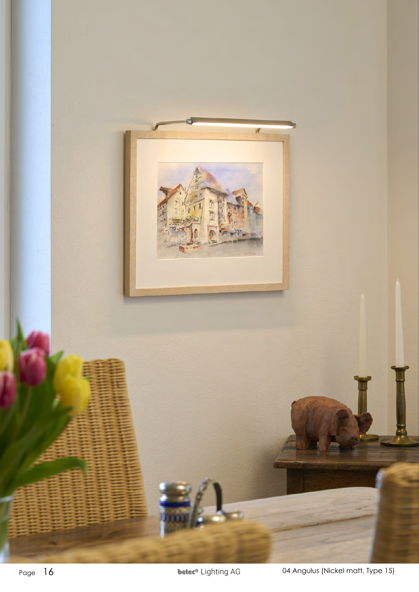